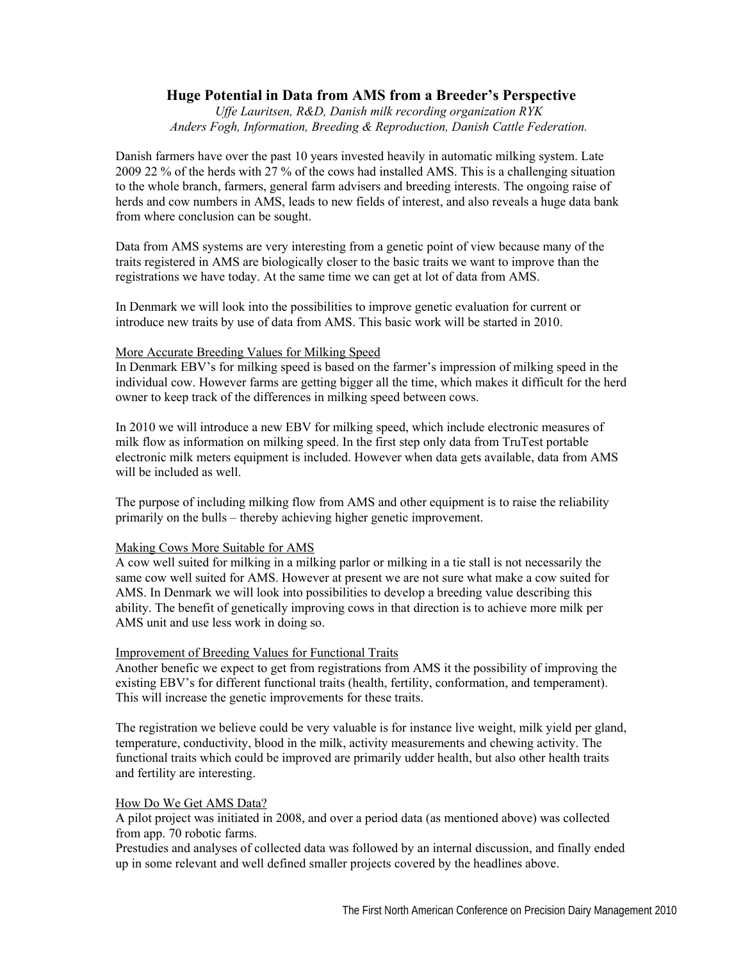# **Huge Potential in Data from AMS from a Breeder's Perspective**

*Uffe Lauritsen, R&D, Danish milk recording organization RYK Anders Fogh, Information, Breeding & Reproduction, Danish Cattle Federation.* 

Danish farmers have over the past 10 years invested heavily in automatic milking system. Late 2009 22 % of the herds with 27 % of the cows had installed AMS. This is a challenging situation to the whole branch, farmers, general farm advisers and breeding interests. The ongoing raise of herds and cow numbers in AMS, leads to new fields of interest, and also reveals a huge data bank from where conclusion can be sought.

Data from AMS systems are very interesting from a genetic point of view because many of the traits registered in AMS are biologically closer to the basic traits we want to improve than the registrations we have today. At the same time we can get at lot of data from AMS.

In Denmark we will look into the possibilities to improve genetic evaluation for current or introduce new traits by use of data from AMS. This basic work will be started in 2010.

#### More Accurate Breeding Values for Milking Speed

In Denmark EBV's for milking speed is based on the farmer's impression of milking speed in the individual cow. However farms are getting bigger all the time, which makes it difficult for the herd owner to keep track of the differences in milking speed between cows.

In 2010 we will introduce a new EBV for milking speed, which include electronic measures of milk flow as information on milking speed. In the first step only data from TruTest portable electronic milk meters equipment is included. However when data gets available, data from AMS will be included as well.

The purpose of including milking flow from AMS and other equipment is to raise the reliability primarily on the bulls – thereby achieving higher genetic improvement.

#### Making Cows More Suitable for AMS

A cow well suited for milking in a milking parlor or milking in a tie stall is not necessarily the same cow well suited for AMS. However at present we are not sure what make a cow suited for AMS. In Denmark we will look into possibilities to develop a breeding value describing this ability. The benefit of genetically improving cows in that direction is to achieve more milk per AMS unit and use less work in doing so.

#### Improvement of Breeding Values for Functional Traits

Another benefic we expect to get from registrations from AMS it the possibility of improving the existing EBV's for different functional traits (health, fertility, conformation, and temperament). This will increase the genetic improvements for these traits.

The registration we believe could be very valuable is for instance live weight, milk yield per gland, temperature, conductivity, blood in the milk, activity measurements and chewing activity. The functional traits which could be improved are primarily udder health, but also other health traits and fertility are interesting.

#### How Do We Get AMS Data?

A pilot project was initiated in 2008, and over a period data (as mentioned above) was collected from app. 70 robotic farms.

Prestudies and analyses of collected data was followed by an internal discussion, and finally ended up in some relevant and well defined smaller projects covered by the headlines above.